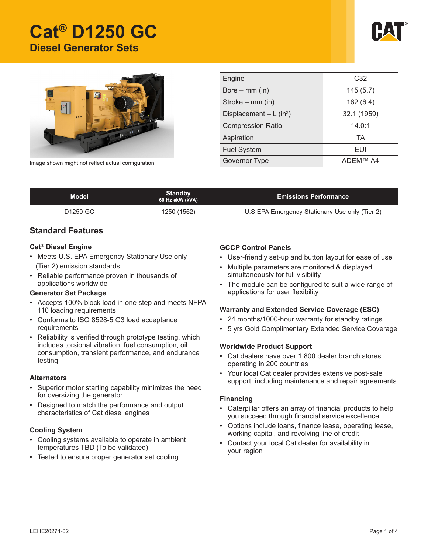# **Cat® D1250 GC Diesel Generator Sets**





| Engine                   | C <sub>32</sub> |  |  |
|--------------------------|-----------------|--|--|
| Bore $-$ mm (in)         | 145(5.7)        |  |  |
| Stroke $-$ mm (in)       | 162(6.4)        |  |  |
| Displacement $- L (in3)$ | 32.1 (1959)     |  |  |
| <b>Compression Ratio</b> | 14.0:1          |  |  |
| Aspiration               | TA              |  |  |
| <b>Fuel System</b>       | EUI             |  |  |
| Governor Type            | ADEM™ A4        |  |  |

Image shown might not reflect actual configuration.

| Standby<br>Model<br>60 Hz ekW (kVA) |             | <b>Emissions Performance</b>                   |  |
|-------------------------------------|-------------|------------------------------------------------|--|
| D1250 GC                            | 1250 (1562) | U.S EPA Emergency Stationary Use only (Tier 2) |  |

## **Standard Features**

#### **Cat® Diesel Engine**

- Meets U.S. EPA Emergency Stationary Use only (Tier 2) emission standards
- Reliable performance proven in thousands of applications worldwide

#### **Generator Set Package**

- Accepts 100% block load in one step and meets NFPA 110 loading requirements
- Conforms to ISO 8528-5 G3 load acceptance requirements
- Reliability is verified through prototype testing, which includes torsional vibration, fuel consumption, oil consumption, transient performance, and endurance testing

#### **Alternators**

- Superior motor starting capability minimizes the need for oversizing the generator
- Designed to match the performance and output characteristics of Cat diesel engines

## **Cooling System**

- Cooling systems available to operate in ambient temperatures TBD (To be validated)
- Tested to ensure proper generator set cooling

## **GCCP Control Panels**

- User-friendly set-up and button layout for ease of use
- Multiple parameters are monitored & displayed simultaneously for full visibility
- The module can be configured to suit a wide range of applications for user flexibility

## **Warranty and Extended Service Coverage (ESC)**

- 24 months/1000-hour warranty for standby ratings
- • 5 yrs Gold Complimentary Extended Service Coverage

#### **Worldwide Product Support**

- • Cat dealers have over 1,800 dealer branch stores operating in 200 countries
- • Your local Cat dealer provides extensive post-sale support, including maintenance and repair agreements

#### **Financing**

- • Caterpillar offers an array of financial products to help you succeed through financial service excellence
- • Options include loans, finance lease, operating lease, working capital, and revolving line of credit
- Contact your local Cat dealer for availability in your region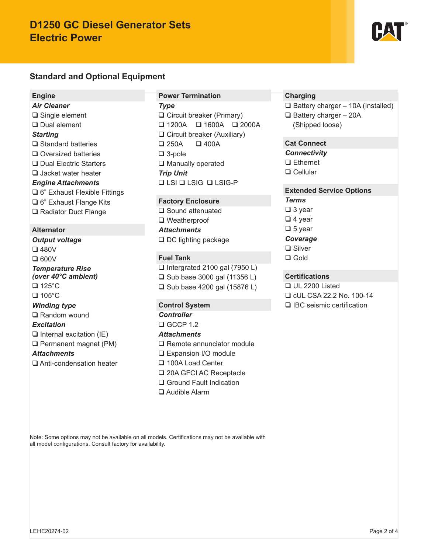## **D1250 GC Diesel Generator Sets Electric Power**

## **Standard and Optional Equipment**

#### **Engine**

*Air Cleaner* □ Single element □ Dual element *Starting*  $\square$  Standard batteries □ Oversized batteries □ Dual Electric Starters □ Jacket water heater *Engine Attachments* 6" Exhaust Flexible Fittings □ 6" Exhaust Flange Kits **□ Radiator Duct Flange** 

#### **Alternator**

*Output voltage* 480V  $\square$  600V *Temperature Rise (over 40°C ambient)* □ 125°C  $\Box$  105°C *Winding type* **□ Random wound** *Excitation*  $\Box$  Internal excitation (IE) Permanent magnet (PM) *Attachments* Anti-condensation heater

#### **Power Termination**

*Type* □ Circuit breaker (Primary)  $\Box$  1200A  $\Box$  1600A  $\Box$  2000A □ Circuit breaker (Auxiliary)  $\Box$  250A  $\Box$  400A 3-pole □ Manually operated *Trip Unit* **Q LSI Q LSIG-P** 

#### **Factory Enclosure**

□ Sound attenuated □ Weatherproof *Attachments* □ DC lighting package

## **Fuel Tank**

 $\Box$  Intergrated 2100 gal (7950 L)  $\Box$  Sub base 3000 gal (11356 L) □ Sub base 4200 gal (15876 L)

## **Control System**

*Controller*  $CCF 1.2$ 

#### *Attachments*

- □ Remote annunciator module
- □ Expansion I/O module
- □ 100A Load Center
- □ 20A GFCI AC Receptacle
- □ Ground Fault Indication
- Audible Alarm

## **Charging**

 $\Box$  Battery charger – 10A (Installed)  $\Box$  Battery charger - 20A (Shipped loose)

## **Cat Connect**

*Connectivity*

□ Ethernet

□ Cellular

## **Extended Service Options**

*Terms*

- □ 3 year
- $\Box$  4 year
- $\Box$  5 year
- *Coverage*
- **□** Silver
- □ Gold

## **Certifications**

 UL 2200 Listed cUL CSA 22.2 No. 100-14

□ IBC seismic certification

Note: Some options may not be available on all models. Certifications may not be available with all model configurations. Consult factory for availability.

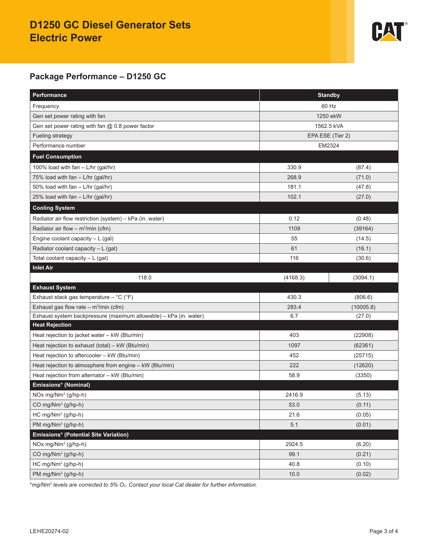## **D1250 GC Diesel Generator Sets Electric Power**



## **Package Performance – D1250 GC**

| Performance                                                       | <b>Standby</b>   |           |  |
|-------------------------------------------------------------------|------------------|-----------|--|
| Frequency                                                         | 60 Hz            |           |  |
| Gen set power rating with fan                                     | 1250 ekW         |           |  |
| Gen set power rating with fan @ 0.8 power factor                  | 1562.5 kVA       |           |  |
| Fueling strategy                                                  | EPA ESE (Tier 2) |           |  |
| Performance number                                                | EM2324           |           |  |
| <b>Fuel Consumption</b>                                           |                  |           |  |
| 100% load with fan - L/hr (gal/hr)                                | 330.9            | (87.4)    |  |
| 75% load with fan - L/hr (gal/hr)                                 | 268.9            | (71.0)    |  |
| 50% load with fan - L/hr (gal/hr)                                 | 181.1            | (47.8)    |  |
| 25% load with fan - L/hr (gal/hr)                                 | 102.1            | (27.0)    |  |
| <b>Cooling System</b>                                             |                  |           |  |
| Radiator air flow restriction (system) - kPa (in. water)          | 0.12             | (0.48)    |  |
| Radiator air flow $-$ m <sup>3</sup> /min (cfm)                   | 1109             | (39164)   |  |
| Engine coolant capacity $-L$ (gal)                                | 55               | (14.5)    |  |
| Radiator coolant capacity - L (gal)                               | 61               | (16.1)    |  |
| Total coolant capacity - L (gal)                                  | 116              | (30.6)    |  |
| <b>Inlet Air</b>                                                  |                  |           |  |
| 118.0                                                             | (4168.3)         | (3094.1)  |  |
| <b>Exhaust System</b>                                             |                  |           |  |
| Exhaust stack gas temperature $-$ °C ( $\degree$ F)               | 430.3            | (806.6)   |  |
| Exhaust gas flow rate – $m^3/m$ in (cfm)                          | 283.4            | (10005.8) |  |
| Exhaust system backpressure (maximum allowable) - kPa (in. water) | 6.7              | (27.0)    |  |
| <b>Heat Rejection</b>                                             |                  |           |  |
| Heat rejection to jacket water - kW (Btu/min)                     | 403              | (22908)   |  |
| Heat rejection to exhaust (total) - kW (Btu/min)                  | 1097             | (62361)   |  |
| Heat rejection to aftercooler - kW (Btu/min)                      | 452              | (25715)   |  |
| Heat rejection to atmosphere from engine - kW (Btu/min)           | 222              | (12620)   |  |
| Heat rejection from alternator - kW (Btu/min)                     | 58.9             | (3350)    |  |
| Emissions* (Nominal)                                              |                  |           |  |
| NOx mg/Nm <sup>3</sup> (g/hp-h)                                   | 2416.9           | (5.13)    |  |
| CO mg/Nm <sup>3</sup> (g/hp-h)                                    | 53.0             | (0.11)    |  |
| HC mg/Nm <sup>3</sup> (g/hp-h)                                    | 21.6             | (0.05)    |  |
| PM mg/Nm <sup>3</sup> (g/hp-h)                                    | 5.1              | (0.01)    |  |
| Emissions* (Potential Site Variation)                             |                  |           |  |
| NOx mg/Nm <sup>3</sup> (g/hp-h)                                   | 2924.5           | (6.20)    |  |
| CO mg/Nm <sup>3</sup> (g/hp-h)                                    | 99.1             | (0.21)    |  |
| HC mg/Nm <sup>3</sup> (g/hp-h)                                    | 40.8             | (0.10)    |  |
| PM mg/Nm <sup>3</sup> (g/hp-h)                                    | 10.0             | (0.02)    |  |

\**mg/Nm3 levels are corrected to 5% O2. Contact your local Cat dealer for further information.*